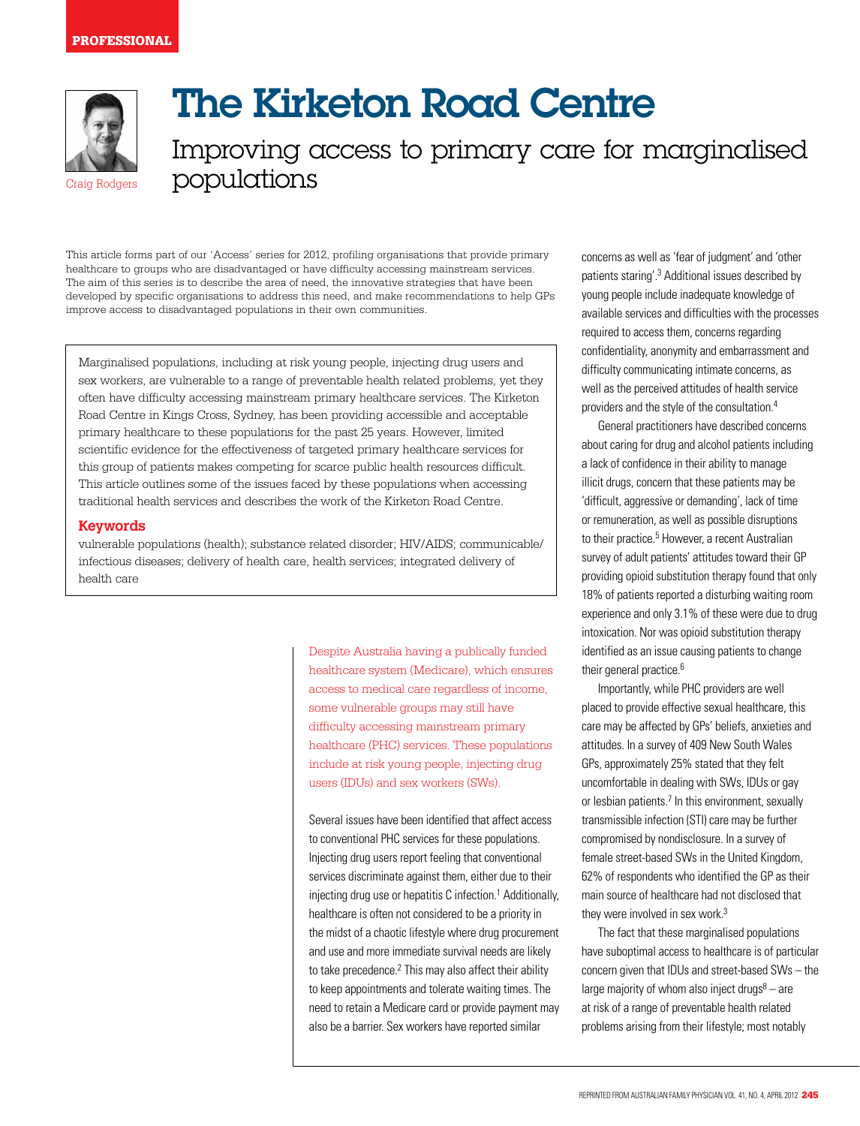

# The Kirketon Road Centre

Improving access to primary care for marginalised populations

This article forms part of our 'Access' series for 2012, profiling organisations that provide primary healthcare to groups who are disadvantaged or have difficulty accessing mainstream services. The aim of this series is to describe the area of need, the innovative strategies that have been developed by specific organisations to address this need, and make recommendations to help GPs improve access to disadvantaged populations in their own communities.

Marginalised populations, including at risk young people, injecting drug users and sex workers, are vulnerable to a range of preventable health related problems, yet they often have difficulty accessing mainstream primary healthcare services. The Kirketon Road Centre in Kings Cross, Sydney, has been providing accessible and acceptable primary healthcare to these populations for the past 25 years. However, limited scientific evidence for the effectiveness of targeted primary healthcare services for this group of patients makes competing for scarce public health resources difficult. This article outlines some of the issues faced by these populations when accessing traditional health services and describes the work of the Kirketon Road Centre.

## **Keywords**

vulnerable populations (health); substance related disorder; HIV/AIDS; communicable/ infectious diseases; delivery of health care, health services; integrated delivery of health care

> Despite Australia having a publically funded healthcare system (Medicare), which ensures access to medical care regardless of income, some vulnerable groups may still have difficulty accessing mainstream primary healthcare (PHC) services. These populations include at risk young people, injecting drug users (IDUs) and sex workers (SWs).

Several issues have been identified that affect access to conventional PHC services for these populations. Injecting drug users report feeling that conventional services discriminate against them, either due to their injecting drug use or hepatitis C infection.<sup>1</sup> Additionally, healthcare is often not considered to be a priority in the midst of a chaotic lifestyle where drug procurement and use and more immediate survival needs are likely to take precedence.<sup>2</sup> This may also affect their ability to keep appointments and tolerate waiting times. The need to retain a Medicare card or provide payment may also be a barrier. Sex workers have reported similar

concerns as well as 'fear of judgment' and 'other patients staring'.3 Additional issues described by young people include inadequate knowledge of available services and difficulties with the processes required to access them, concerns regarding confidentiality, anonymity and embarrassment and difficulty communicating intimate concerns, as well as the perceived attitudes of health service providers and the style of the consultation.4

General practitioners have described concerns about caring for drug and alcohol patients including a lack of confidence in their ability to manage illicit drugs, concern that these patients may be 'difficult, aggressive or demanding', lack of time or remuneration, as well as possible disruptions to their practice.<sup>5</sup> However, a recent Australian survey of adult patients' attitudes toward their GP providing opioid substitution therapy found that only 18% of patients reported a disturbing waiting room experience and only 3.1% of these were due to drug intoxication. Nor was opioid substitution therapy identified as an issue causing patients to change their general practice.<sup>6</sup>

Importantly, while PHC providers are well placed to provide effective sexual healthcare, this care may be affected by GPs' beliefs, anxieties and attitudes. In a survey of 409 New South Wales GPs, approximately 25% stated that they felt uncomfortable in dealing with SWs, IDUs or gay or lesbian patients.<sup>7</sup> In this environment, sexually transmissible infection (STI) care may be further compromised by nondisclosure. In a survey of female street-based SWs in the United Kingdom, 62% of respondents who identified the GP as their main source of healthcare had not disclosed that they were involved in sex work.<sup>3</sup>

The fact that these marginalised populations have suboptimal access to healthcare is of particular concern given that IDUs and street-based SWs – the large majority of whom also inject drugs $8 -$ are at risk of a range of preventable health related problems arising from their lifestyle; most notably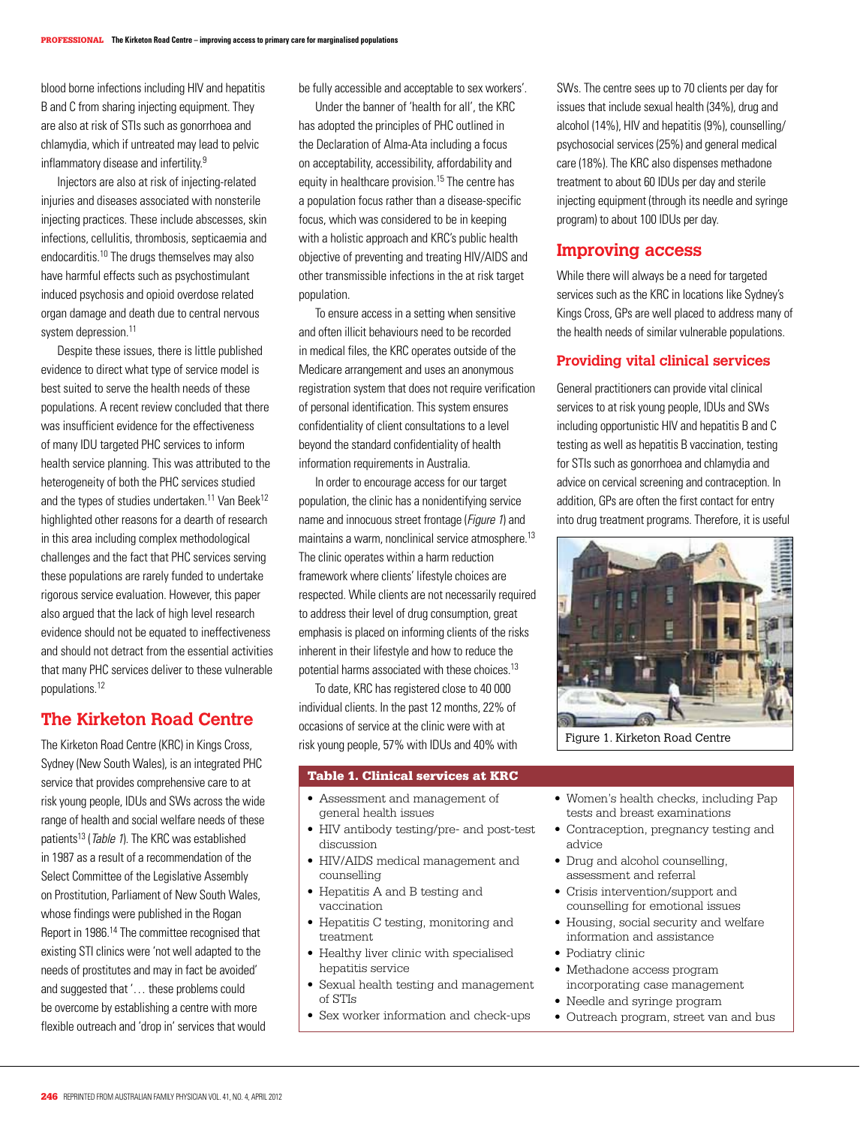blood borne infections including HIV and hepatitis B and C from sharing injecting equipment. They are also at risk of STIs such as gonorrhoea and chlamydia, which if untreated may lead to pelvic inflammatory disease and infertility.9

Injectors are also at risk of injecting-related injuries and diseases associated with nonsterile injecting practices. These include abscesses, skin infections, cellulitis, thrombosis, septicaemia and endocarditis.10 The drugs themselves may also have harmful effects such as psychostimulant induced psychosis and opioid overdose related organ damage and death due to central nervous system depression.<sup>11</sup>

Despite these issues, there is little published evidence to direct what type of service model is best suited to serve the health needs of these populations. A recent review concluded that there was insufficient evidence for the effectiveness of many IDU targeted PHC services to inform health service planning. This was attributed to the heterogeneity of both the PHC services studied and the types of studies undertaken.<sup>11</sup> Van Beek<sup>12</sup> highlighted other reasons for a dearth of research in this area including complex methodological challenges and the fact that PHC services serving these populations are rarely funded to undertake rigorous service evaluation. However, this paper also argued that the lack of high level research evidence should not be equated to ineffectiveness and should not detract from the essential activities that many PHC services deliver to these vulnerable populations.12

# **The Kirketon Road Centre**

The Kirketon Road Centre (KRC) in Kings Cross, Sydney (New South Wales), is an integrated PHC service that provides comprehensive care to at risk young people, IDUs and SWs across the wide range of health and social welfare needs of these patients<sup>13</sup> (*Table 1*). The KRC was established in 1987 as a result of a recommendation of the Select Committee of the Legislative Assembly on Prostitution, Parliament of New South Wales, whose findings were published in the Rogan Report in 1986.14 The committee recognised that existing STI clinics were 'not well adapted to the needs of prostitutes and may in fact be avoided' and suggested that '… these problems could be overcome by establishing a centre with more flexible outreach and 'drop in' services that would

be fully accessible and acceptable to sex workers'.

 Under the banner of 'health for all', the KRC has adopted the principles of PHC outlined in the Declaration of Alma-Ata including a focus on acceptability, accessibility, affordability and equity in healthcare provision.<sup>15</sup> The centre has a population focus rather than a disease-specific focus, which was considered to be in keeping with a holistic approach and KRC's public health objective of preventing and treating HIV/AIDS and other transmissible infections in the at risk target population.

To ensure access in a setting when sensitive and often illicit behaviours need to be recorded in medical files, the KRC operates outside of the Medicare arrangement and uses an anonymous registration system that does not require verification of personal identification. This system ensures confidentiality of client consultations to a level beyond the standard confidentiality of health information requirements in Australia.

In order to encourage access for our target population, the clinic has a nonidentifying service name and innocuous street frontage (Figure 1) and maintains a warm, nonclinical service atmosphere.<sup>13</sup> The clinic operates within a harm reduction framework where clients' lifestyle choices are respected. While clients are not necessarily required to address their level of drug consumption, great emphasis is placed on informing clients of the risks inherent in their lifestyle and how to reduce the potential harms associated with these choices.13

To date, KRC has registered close to 40 000 individual clients. In the past 12 months, 22% of occasions of service at the clinic were with at risk young people, 57% with IDUs and 40% with Figure 1. Kirketon Road Centre

## Table 1. Clinical services at KRC

- • Assessment and management of general health issues
- HIV antibody testing/pre- and post-test discussion
- HIV/AIDS medical management and counselling
- Hepatitis A and B testing and vaccination
- Hepatitis C testing, monitoring and treatment
- Healthy liver clinic with specialised hepatitis service
- Sexual health testing and management of STIs
- Sex worker information and check-ups

SWs. The centre sees up to 70 clients per day for issues that include sexual health (34%), drug and alcohol (14%), HIV and hepatitis (9%), counselling/ psychosocial services (25%) and general medical care (18%). The KRC also dispenses methadone treatment to about 60 IDUs per day and sterile injecting equipment (through its needle and syringe program) to about 100 IDUs per day.

## **Improving access**

While there will always be a need for targeted services such as the KRC in locations like Sydney's Kings Cross, GPs are well placed to address many of the health needs of similar vulnerable populations.

## **Providing vital clinical services**

General practitioners can provide vital clinical services to at risk young people, IDUs and SWs including opportunistic HIV and hepatitis B and C testing as well as hepatitis B vaccination, testing for STIs such as gonorrhoea and chlamydia and advice on cervical screening and contraception. In addition, GPs are often the first contact for entry into drug treatment programs. Therefore, it is useful



- • Women's health checks, including Pap tests and breast examinations
- Contraception, pregnancy testing and advice
- Drug and alcohol counselling. assessment and referral
- Crisis intervention/support and counselling for emotional issues
- Housing, social security and welfare information and assistance
- Podiatry clinic
- • Methadone access program incorporating case management
- Needle and syringe program
- Outreach program, street van and bus